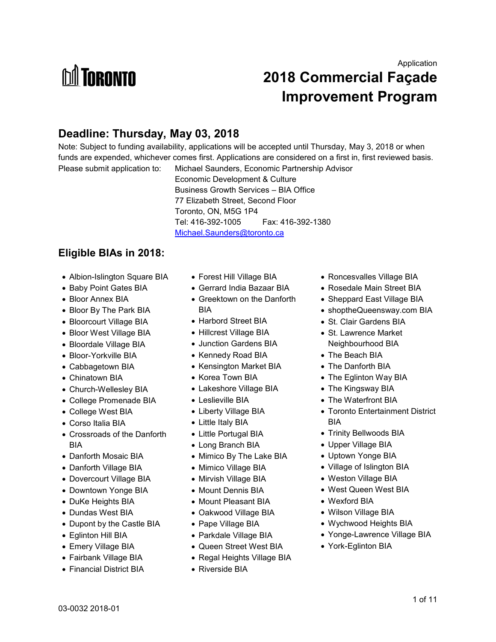# **M** TORONTO

## **2018 Commercial Façade Improvement Program**

## **Deadline: Thursday, May 03, 2018**

Note: Subject to funding availability, applications will be accepted until Thursday, May 3, 2018 or when funds are expended, whichever comes first. Applications are considered on a first in, first reviewed basis. Please submit application to: Michael Saunders, Economic Partnership Advisor

 Economic Development & Culture Business Growth Services – BIA Office 77 Elizabeth Street, Second Floor Toronto, ON, M5G 1P4 Tel: 416-392-1005 Fax: 416-392-1380 [Michael.Saunders@toronto.ca](mailto:Michael.Saunders@toronto.ca) 

#### **Eligible BIAs in 2018:**

- Albion-Islington Square BIA
- Baby Point Gates BIA
- Bloor Annex BIA
- Bloor By The Park BIA
- Bloorcourt Village BIA
- Bloor West Village BIA
- Bloordale Village BIA
- Bloor-Yorkville BIA
- Cabbagetown BIA
- Chinatown BIA
- Church-Wellesley BIA
- College Promenade BIA
- College West BIA
- Corso Italia BIA
- Crossroads of the Danforth BIA
- Danforth Mosaic BIA
- Danforth Village BIA
- Dovercourt Village BIA
- Downtown Yonge BIA
- DuKe Heights BIA
- Dundas West BIA
- Dupont by the Castle BIA
- Eglinton Hill BIA
- Emery Village BIA
- Fairbank Village BIA
- Financial District BIA
- Forest Hill Village BIA
- Gerrard India Bazaar BIA
- Greektown on the Danforth BIA
- Harbord Street BIA
- Hillcrest Village BIA
- Junction Gardens BIA
- Kennedy Road BIA
- Kensington Market BIA
- Korea Town BIA
- Lakeshore Village BIA
- Leslieville BIA
- Liberty Village BIA
- Little Italy BIA
- Little Portugal BIA
- Long Branch BIA
- Mimico By The Lake BIA
- Mimico Village BIA
- Mirvish Village BIA
- Mount Dennis BIA
- Mount Pleasant BIA
- Oakwood Village BIA
- Pape Village BIA
- Parkdale Village BIA
- Queen Street West BIA
- Regal Heights Village BIA
- Riverside BIA
- Roncesvalles Village BIA
- Rosedale Main Street BIA
- Sheppard East Village BIA
- shoptheQueensway.com BIA
- St. Clair Gardens BIA
- St. Lawrence Market Neighbourhood BIA
- The Beach BIA
- The Danforth BIA
- The Eglinton Way BIA
- The Kingsway BIA
- The Waterfront BIA
- Toronto Entertainment District BIA
- Trinity Bellwoods BIA
- Upper Village BIA
- Uptown Yonge BIA
- Village of Islington BIA
- Weston Village BIA
- West Queen West BIA
- Wexford BIA
- Wilson Village BIA
- Wychwood Heights BIA
- Yonge-Lawrence Village BIA
- York-Eglinton BIA

Application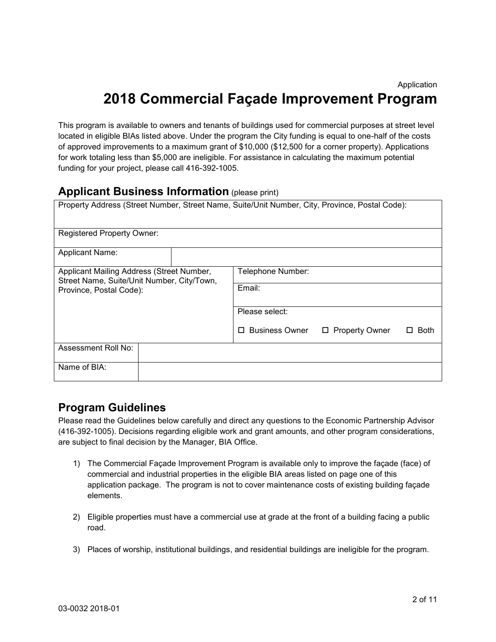## **2018 Commercial Façade Improvement Program**

This program is available to owners and tenants of buildings used for commercial purposes at street level located in eligible BIAs listed above. Under the program the City funding is equal to one-half of the costs of approved improvements to a maximum grant of \$10,000 (\$12,500 for a corner property). Applications for work totaling less than \$5,000 are ineligible. For assistance in calculating the maximum potential funding for your project, please call 416-392-1005.

#### **Applicant Business Information** (please print)

|                                                                                         | Property Address (Street Number, Street Name, Suite/Unit Number, City, Province, Postal Code): |
|-----------------------------------------------------------------------------------------|------------------------------------------------------------------------------------------------|
| <b>Registered Property Owner:</b>                                                       |                                                                                                |
| <b>Applicant Name:</b>                                                                  |                                                                                                |
| Applicant Mailing Address (Street Number,<br>Street Name, Suite/Unit Number, City/Town, | Telephone Number:                                                                              |
| Province, Postal Code):                                                                 | Email:                                                                                         |
|                                                                                         | Please select:                                                                                 |
|                                                                                         | Business Owner<br>□ Property Owner<br><b>Both</b><br>□<br>П                                    |
| Assessment Roll No:                                                                     |                                                                                                |
| Name of BIA:                                                                            |                                                                                                |

#### **Program Guidelines**

Please read the Guidelines below carefully and direct any questions to the Economic Partnership Advisor (416-392-1005). Decisions regarding eligible work and grant amounts, and other program considerations, are subject to final decision by the Manager, BIA Office.

- 1) The Commercial Façade Improvement Program is available only to improve the façade (face) of commercial and industrial properties in the eligible BIA areas listed on page one of this application package. The program is not to cover maintenance costs of existing building façade elements.
- 2) Eligible properties must have a commercial use at grade at the front of a building facing a public road.
- 3) Places of worship, institutional buildings, and residential buildings are ineligible for the program.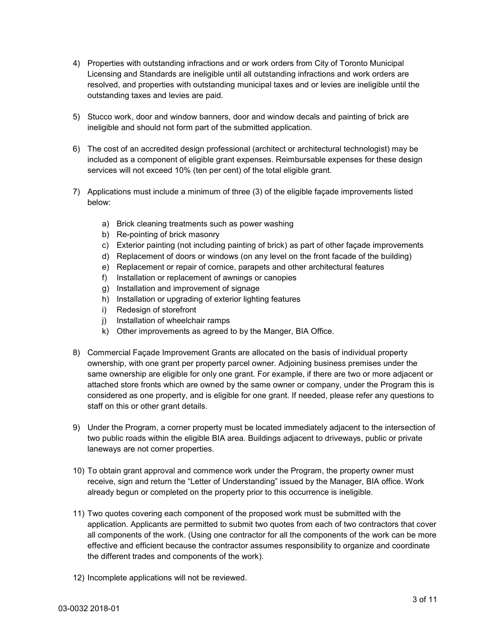- 4) Properties with outstanding infractions and or work orders from City of Toronto Municipal Licensing and Standards are ineligible until all outstanding infractions and work orders are resolved, and properties with outstanding municipal taxes and or levies are ineligible until the outstanding taxes and levies are paid.
- 5) Stucco work, door and window banners, door and window decals and painting of brick are ineligible and should not form part of the submitted application.
- 6) The cost of an accredited design professional (architect or architectural technologist) may be included as a component of eligible grant expenses. Reimbursable expenses for these design services will not exceed 10% (ten per cent) of the total eligible grant.
- 7) Applications must include a minimum of three (3) of the eligible façade improvements listed below:
	- a) Brick cleaning treatments such as power washing
	- b) Re-pointing of brick masonry
	- c) Exterior painting (not including painting of brick) as part of other façade improvements
	- d) Replacement of doors or windows (on any level on the front facade of the building)
	- e) Replacement or repair of cornice, parapets and other architectural features
	- f) Installation or replacement of awnings or canopies
	- g) Installation and improvement of signage
	- h) Installation or upgrading of exterior lighting features
	- i) Redesign of storefront
	- j) Installation of wheelchair ramps
	- k) Other improvements as agreed to by the Manger, BIA Office.
- 8) Commercial Façade Improvement Grants are allocated on the basis of individual property ownership, with one grant per property parcel owner. Adjoining business premises under the same ownership are eligible for only one grant. For example, if there are two or more adjacent or attached store fronts which are owned by the same owner or company, under the Program this is considered as one property, and is eligible for one grant. If needed, please refer any questions to staff on this or other grant details.
- 9) Under the Program, a corner property must be located immediately adjacent to the intersection of two public roads within the eligible BIA area. Buildings adjacent to driveways, public or private laneways are not corner properties.
- 10) To obtain grant approval and commence work under the Program, the property owner must receive, sign and return the "Letter of Understanding" issued by the Manager, BIA office. Work already begun or completed on the property prior to this occurrence is ineligible.
- 11) Two quotes covering each component of the proposed work must be submitted with the application. Applicants are permitted to submit two quotes from each of two contractors that cover all components of the work. (Using one contractor for all the components of the work can be more effective and efficient because the contractor assumes responsibility to organize and coordinate the different trades and components of the work).
- 12) Incomplete applications will not be reviewed.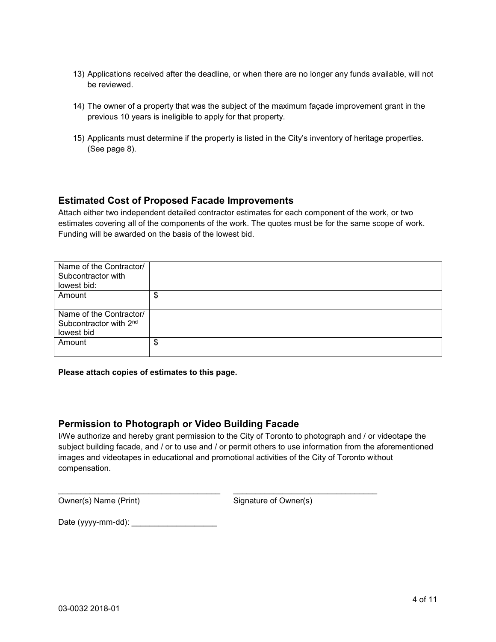- 13) Applications received after the deadline, or when there are no longer any funds available, will not be reviewed.
- 14) The owner of a property that was the subject of the maximum façade improvement grant in the previous 10 years is ineligible to apply for that property.
- 15) Applicants must determine if the property is listed in the City's inventory of heritage properties. (See page 8).

#### **Estimated Cost of Proposed Facade Improvements**

Attach either two independent detailed contractor estimates for each component of the work, or two estimates covering all of the components of the work. The quotes must be for the same scope of work. Funding will be awarded on the basis of the lowest bid.

| Name of the Contractor/<br>Subcontractor with<br>lowest bid:                |    |
|-----------------------------------------------------------------------------|----|
| Amount                                                                      | \$ |
| Name of the Contractor/<br>Subcontractor with 2 <sup>nd</sup><br>lowest bid |    |
| Amount                                                                      | \$ |

#### **Please attach copies of estimates to this page.**

#### **Permission to Photograph or Video Building Facade**

I/We authorize and hereby grant permission to the City of Toronto to photograph and / or videotape the subject building facade, and / or to use and / or permit others to use information from the aforementioned images and videotapes in educational and promotional activities of the City of Toronto without compensation.

\_\_\_\_\_\_\_\_\_\_\_\_\_\_\_\_\_\_\_\_\_\_\_\_\_\_\_\_\_\_\_\_\_\_\_\_ \_\_\_\_\_\_\_\_\_\_\_\_\_\_\_\_\_\_\_\_\_\_\_\_\_\_\_\_\_\_\_\_

Owner(s) Name (Print) Signature of Owner(s)

Date (yyyy-mm-dd): \_\_\_\_\_\_\_\_\_\_\_\_\_\_\_\_\_\_\_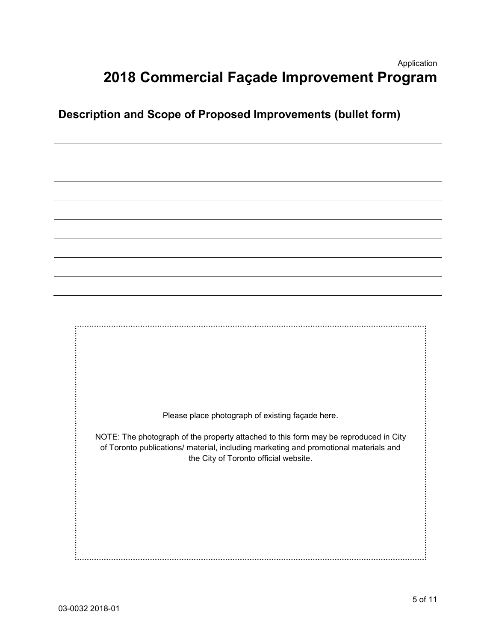### Application **2018 Commercial Façade Improvement Program**

## **Description and Scope of Proposed Improvements (bullet form)**

Please place photograph of existing façade here.

NOTE: The photograph of the property attached to this form may be reproduced in City of Toronto publications/ material, including marketing and promotional materials and the City of Toronto official website.

 $\ddotsc$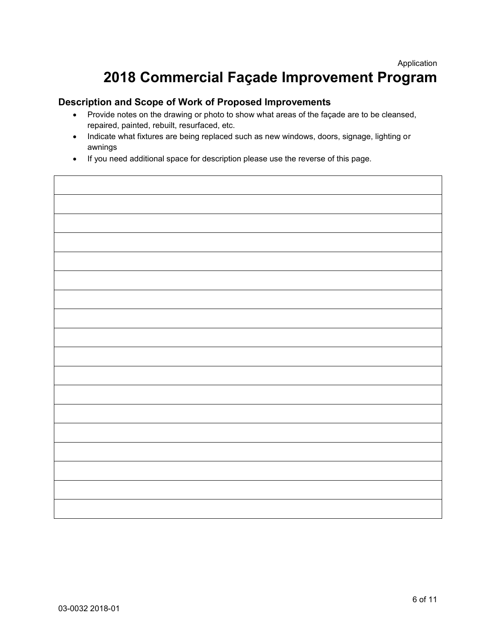٦

## **2018 Commercial Façade Improvement Program**

#### **Description and Scope of Work of Proposed Improvements**

- Provide notes on the drawing or photo to show what areas of the façade are to be cleansed, repaired, painted, rebuilt, resurfaced, etc.
- Indicate what fixtures are being replaced such as new windows, doors, signage, lighting or awnings
- If you need additional space for description please use the reverse of this page.

Г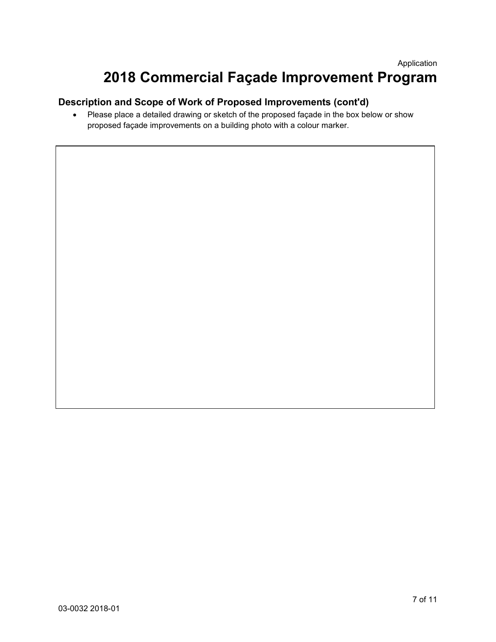## **2018 Commercial Façade Improvement Program**

#### **Description and Scope of Work of Proposed Improvements (cont'd)**

 Please place a detailed drawing or sketch of the proposed façade in the box below or show proposed façade improvements on a building photo with a colour marker.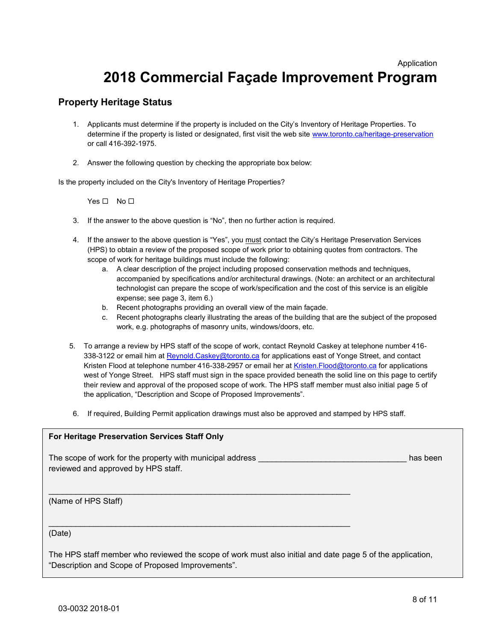Application

## **2018 Commercial Façade Improvement Program**

#### **Property Heritage Status**

- 1. Applicants must determine if the property is included on the City's Inventory of Heritage Properties. To determine if the property is listed or designated, first visit the web site [www.toronto.ca/heritage-preservation](http://www.toronto.ca/heritage-preservation) or call 416-392-1975.
- 2. Answer the following question by checking the appropriate box below:

Is the property included on the City's Inventory of Heritage Properties?

 $Yes \Box No \Box$ 

- 3. If the answer to the above question is "No", then no further action is required.
- 4. If the answer to the above question is "Yes", you must contact the City's Heritage Preservation Services (HPS) to obtain a review of the proposed scope of work prior to obtaining quotes from contractors. The scope of work for heritage buildings must include the following:
	- a. A clear description of the project including proposed conservation methods and techniques, accompanied by specifications and/or architectural drawings. (Note: an architect or an architectural technologist can prepare the scope of work/specification and the cost of this service is an eligible expense; see page 3, item 6.)
	- b. Recent photographs providing an overall view of the main façade.
	- c. Recent photographs clearly illustrating the areas of the building that are the subject of the proposed work, e.g. photographs of masonry units, windows/doors, etc.
- 5. To arrange a review by HPS staff of the scope of work, contact Reynold Caskey at telephone number 416 338-3122 or email him a[t Reynold.Caskey@toronto.ca](mailto:Reynold.Caskey@toronto.ca) for applications east of Yonge Street, and contact Kristen Flood at telephone number 416-338-2957 or email her at Kristen. Flood@toronto.ca for applications west of Yonge Street. HPS staff must sign in the space provided beneath the solid line on this page to certify their review and approval of the proposed scope of work. The HPS staff member must also initial page 5 of the application, "Description and Scope of Proposed Improvements".
- 6. If required, Building Permit application drawings must also be approved and stamped by HPS staff.

#### **For Heritage Preservation Services Staff Only**

The scope of work for the property with municipal address **we are all the scope of work for the property with municipal address** reviewed and approved by HPS staff.

 $\overline{\phantom{a}}$  , and the contribution of the contribution of the contribution of the contribution of the contribution of the contribution of the contribution of the contribution of the contribution of the contribution of the

\_\_\_\_\_\_\_\_\_\_\_\_\_\_\_\_\_\_\_\_\_\_\_\_\_\_\_\_\_\_\_\_\_\_\_\_\_\_\_\_\_\_\_\_\_\_\_\_\_\_\_\_\_\_\_\_\_\_\_\_\_\_\_\_\_\_\_

(Name of HPS Staff)

(Date)

The HPS staff member who reviewed the scope of work must also initial and date page 5 of the application, "Description and Scope of Proposed Improvements".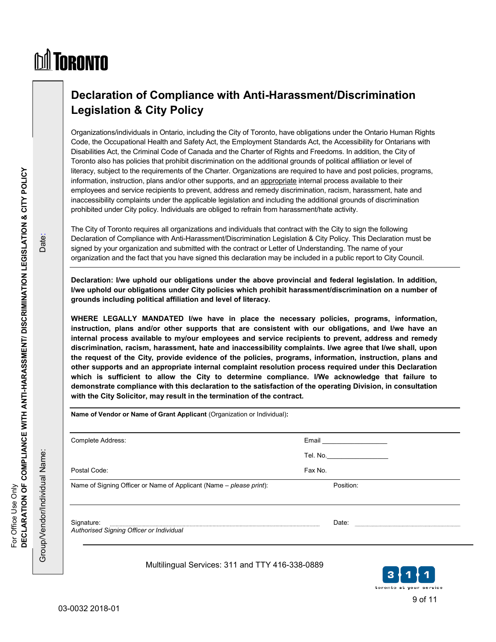# **M** TORONTO

## **Declaration of Compliance with Anti-Harassment/Discrimination Legislation & City Policy**

Organizations/individuals in Ontario, including the City of Toronto, have obligations under the Ontario Human Rights Code, the Occupational Health and Safety Act, the Employment Standards Act, the Accessibility for Ontarians with Disabilities Act, the Criminal Code of Canada and the Charter of Rights and Freedoms. In addition, the City of Toronto also has policies that prohibit discrimination on the additional grounds of political affiliation or level of literacy, subject to the requirements of the Charter. Organizations are required to have and post policies, programs, information, instruction, plans and/or other supports, and an appropriate internal process available to their employees and service recipients to prevent, address and remedy discrimination, racism, harassment, hate and inaccessibility complaints under the applicable legislation and including the additional grounds of discrimination prohibited under City policy. Individuals are obliged to refrain from harassment/hate activity.

The City of Toronto requires all organizations and individuals that contract with the City to sign the following Declaration of Compliance with Anti-Harassment/Discrimination Legislation & City Policy. This Declaration must be signed by your organization and submitted with the contract or Letter of Understanding. The name of your organization and the fact that you have signed this declaration may be included in a public report to City Council.

**Declaration: I/we uphold our obligations under the above provincial and federal legislation. In addition, I/we uphold our obligations under City policies which prohibit harassment/discrimination on a number of grounds including political affiliation and level of literacy.** 

**WHERE LEGALLY MANDATED I/we have in place the necessary policies, programs, information, instruction, plans and/or other supports that are consistent with our obligations, and I/we have an internal process available to my/our employees and service recipients to prevent, address and remedy discrimination, racism, harassment, hate and inaccessibility complaints. I/we agree that I/we shall, upon the request of the City, provide evidence of the policies, programs, information, instruction, plans and other supports and an appropriate internal complaint resolution process required under this Declaration which is sufficient to allow the City to determine compliance. I/We acknowledge that failure to demonstrate compliance with this declaration to the satisfaction of the operating Division, in consultation with the City Solicitor, may result in the termination of the contract.** 

 $\overline{a}$ **Name of Vendor or Name of Grant Applicant** (Organization or Individual)**:**  Complete Address: Email Email Email Address: Tel. No.\_\_\_\_\_\_\_\_\_\_\_\_\_\_\_\_\_ Postal Code: Fax No. 2012 12:00:00 Postal Code: Fax No. Name of Signing Officer or Name of Applicant (Name – *please print*): Position: Signature: Date: *Authorised Signing Officer or Individual* 

Multilingual Services: 311 and TTY 416-338-0889



For Office Use Only

For Office Use Only

Group/Vendor/Individual Name: Date:

Group/Vendor/Individual Name:

Date: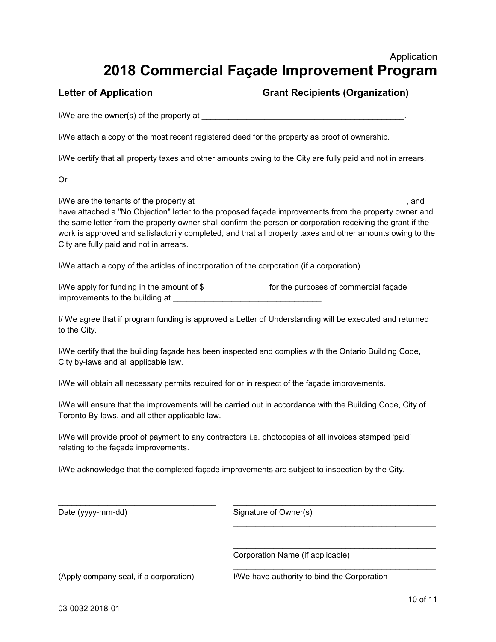### Application **2018 Commercial Façade Improvement Program**

#### Letter of Application **Communist Construction** Grant Recipients (Organization)

I/We are the owner(s) of the property at \_\_\_\_\_\_\_\_\_\_\_\_\_\_\_\_\_\_\_\_\_\_\_\_\_\_\_\_\_\_\_\_\_\_\_\_\_\_\_\_\_\_\_\_\_.

I/We attach a copy of the most recent registered deed for the property as proof of ownership.

I/We certify that all property taxes and other amounts owing to the City are fully paid and not in arrears.

Or

I/We are the tenants of the property at each of the state of the property at the state of the state of the state of the state of the state of the state of the state of the state of the state of the state of the state of th have attached a "No Objection" letter to the proposed façade improvements from the property owner and the same letter from the property owner shall confirm the person or corporation receiving the grant if the work is approved and satisfactorily completed, and that all property taxes and other amounts owing to the City are fully paid and not in arrears.

I/We attach a copy of the articles of incorporation of the corporation (if a corporation).

I/We apply for funding in the amount of \$\_\_\_\_\_\_\_\_\_\_\_\_\_\_\_\_\_ for the purposes of commercial façade improvements to the building at  $\blacksquare$ 

I/ We agree that if program funding is approved a Letter of Understanding will be executed and returned to the City.

I/We certify that the building façade has been inspected and complies with the Ontario Building Code, City by-laws and all applicable law.

I/We will obtain all necessary permits required for or in respect of the façade improvements.

I/We will ensure that the improvements will be carried out in accordance with the Building Code, City of Toronto By-laws, and all other applicable law.

I/We will provide proof of payment to any contractors i.e. photocopies of all invoices stamped 'paid' relating to the façade improvements.

I/We acknowledge that the completed façade improvements are subject to inspection by the City.

\_\_\_\_\_\_\_\_\_\_\_\_\_\_\_\_\_\_\_\_\_\_\_\_\_\_\_\_\_\_\_\_\_\_\_ \_\_\_\_\_\_\_\_\_\_\_\_\_\_\_\_\_\_\_\_\_\_\_\_\_\_\_\_\_\_\_\_\_\_\_\_\_\_\_\_\_\_\_\_\_ Date (yyyy-mm-dd) Signature of Owner(s)  $\frac{1}{2}$  ,  $\frac{1}{2}$  ,  $\frac{1}{2}$  ,  $\frac{1}{2}$  ,  $\frac{1}{2}$  ,  $\frac{1}{2}$  ,  $\frac{1}{2}$  ,  $\frac{1}{2}$  ,  $\frac{1}{2}$  ,  $\frac{1}{2}$  ,  $\frac{1}{2}$  ,  $\frac{1}{2}$  ,  $\frac{1}{2}$  ,  $\frac{1}{2}$  ,  $\frac{1}{2}$  ,  $\frac{1}{2}$  ,  $\frac{1}{2}$  ,  $\frac{1}{2}$  ,  $\frac{1$  $\overline{\phantom{a}}$  , and the contract of the contract of the contract of the contract of the contract of the contract of the contract of the contract of the contract of the contract of the contract of the contract of the contrac Corporation Name (if applicable)  $\overline{\phantom{a}}$  , and the contract of the contract of the contract of the contract of the contract of the contract of the contract of the contract of the contract of the contract of the contract of the contract of the contrac (Apply company seal, if a corporation) I/We have authority to bind the Corporation